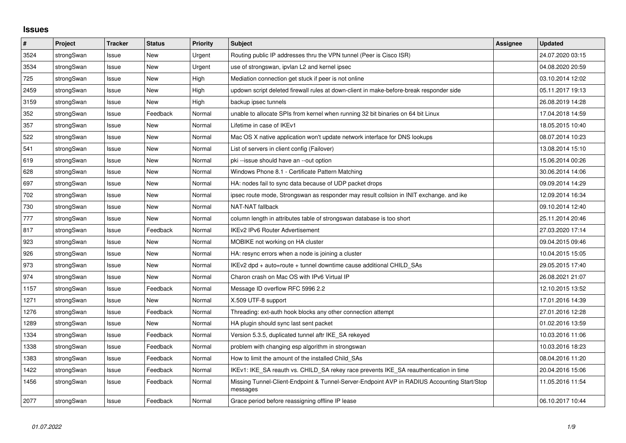## **Issues**

| $\vert$ # | Project    | <b>Tracker</b> | <b>Status</b> | <b>Priority</b> | <b>Subject</b>                                                                                          | <b>Assignee</b> | <b>Updated</b>   |
|-----------|------------|----------------|---------------|-----------------|---------------------------------------------------------------------------------------------------------|-----------------|------------------|
| 3524      | strongSwan | Issue          | <b>New</b>    | Urgent          | Routing public IP addresses thru the VPN tunnel (Peer is Cisco ISR)                                     |                 | 24.07.2020 03:15 |
| 3534      | strongSwan | Issue          | <b>New</b>    | Urgent          | use of strongswan, ipvlan L2 and kernel ipsec                                                           |                 | 04.08.2020 20:59 |
| 725       | strongSwan | Issue          | <b>New</b>    | High            | Mediation connection get stuck if peer is not online                                                    |                 | 03.10.2014 12:02 |
| 2459      | strongSwan | Issue          | <b>New</b>    | High            | updown script deleted firewall rules at down-client in make-before-break responder side                 |                 | 05.11.2017 19:13 |
| 3159      | strongSwan | Issue          | <b>New</b>    | High            | backup ipsec tunnels                                                                                    |                 | 26.08.2019 14:28 |
| 352       | strongSwan | Issue          | Feedback      | Normal          | unable to allocate SPIs from kernel when running 32 bit binaries on 64 bit Linux                        |                 | 17.04.2018 14:59 |
| 357       | strongSwan | Issue          | <b>New</b>    | Normal          | Lifetime in case of IKEv1                                                                               |                 | 18.05.2015 10:40 |
| 522       | strongSwan | Issue          | <b>New</b>    | Normal          | Mac OS X native application won't update network interface for DNS lookups                              |                 | 08.07.2014 10:23 |
| 541       | strongSwan | Issue          | <b>New</b>    | Normal          | List of servers in client config (Failover)                                                             |                 | 13.08.2014 15:10 |
| 619       | strongSwan | Issue          | <b>New</b>    | Normal          | pki--issue should have an --out option                                                                  |                 | 15.06.2014 00:26 |
| 628       | strongSwan | Issue          | <b>New</b>    | Normal          | Windows Phone 8.1 - Certificate Pattern Matching                                                        |                 | 30.06.2014 14:06 |
| 697       | strongSwan | Issue          | <b>New</b>    | Normal          | HA: nodes fail to sync data because of UDP packet drops                                                 |                 | 09.09.2014 14:29 |
| 702       | strongSwan | Issue          | New           | Normal          | ipsec route mode, Strongswan as responder may result collsion in INIT exchange. and ike                 |                 | 12.09.2014 16:34 |
| 730       | strongSwan | Issue          | <b>New</b>    | Normal          | <b>NAT-NAT fallback</b>                                                                                 |                 | 09.10.2014 12:40 |
| 777       | strongSwan | Issue          | <b>New</b>    | Normal          | column length in attributes table of strongswan database is too short                                   |                 | 25.11.2014 20:46 |
| 817       | strongSwan | Issue          | Feedback      | Normal          | <b>IKEv2 IPv6 Router Advertisement</b>                                                                  |                 | 27.03.2020 17:14 |
| 923       | strongSwan | Issue          | <b>New</b>    | Normal          | MOBIKE not working on HA cluster                                                                        |                 | 09.04.2015 09:46 |
| 926       | strongSwan | Issue          | <b>New</b>    | Normal          | HA: resync errors when a node is joining a cluster                                                      |                 | 10.04.2015 15:05 |
| 973       | strongSwan | Issue          | New           | Normal          | IKEv2 dpd + auto=route + tunnel downtime cause additional CHILD SAs                                     |                 | 29.05.2015 17:40 |
| 974       | strongSwan | Issue          | <b>New</b>    | Normal          | Charon crash on Mac OS with IPv6 Virtual IP                                                             |                 | 26.08.2021 21:07 |
| 1157      | strongSwan | Issue          | Feedback      | Normal          | Message ID overflow RFC 5996 2.2                                                                        |                 | 12.10.2015 13:52 |
| 1271      | strongSwan | Issue          | <b>New</b>    | Normal          | X.509 UTF-8 support                                                                                     |                 | 17.01.2016 14:39 |
| 1276      | strongSwan | Issue          | Feedback      | Normal          | Threading: ext-auth hook blocks any other connection attempt                                            |                 | 27.01.2016 12:28 |
| 1289      | strongSwan | Issue          | New           | Normal          | HA plugin should sync last sent packet                                                                  |                 | 01.02.2016 13:59 |
| 1334      | strongSwan | Issue          | Feedback      | Normal          | Version 5.3.5, duplicated tunnel aftr IKE SA rekeyed                                                    |                 | 10.03.2016 11:06 |
| 1338      | strongSwan | Issue          | Feedback      | Normal          | problem with changing esp algorithm in strongswan                                                       |                 | 10.03.2016 18:23 |
| 1383      | strongSwan | Issue          | Feedback      | Normal          | How to limit the amount of the installed Child SAs                                                      |                 | 08.04.2016 11:20 |
| 1422      | strongSwan | Issue          | Feedback      | Normal          | IKEv1: IKE_SA reauth vs. CHILD_SA rekey race prevents IKE_SA reauthentication in time                   |                 | 20.04.2016 15:06 |
| 1456      | strongSwan | Issue          | Feedback      | Normal          | Missing Tunnel-Client-Endpoint & Tunnel-Server-Endpoint AVP in RADIUS Accounting Start/Stop<br>messages |                 | 11.05.2016 11:54 |
| 2077      | strongSwan | Issue          | Feedback      | Normal          | Grace period before reassigning offline IP lease                                                        |                 | 06.10.2017 10:44 |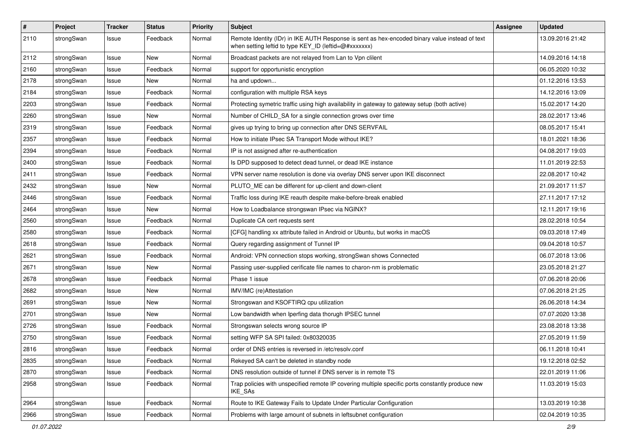| $\sharp$ | Project    | <b>Tracker</b> | <b>Status</b> | <b>Priority</b> | <b>Subject</b>                                                                                                                                          | <b>Assignee</b> | <b>Updated</b>   |
|----------|------------|----------------|---------------|-----------------|---------------------------------------------------------------------------------------------------------------------------------------------------------|-----------------|------------------|
| 2110     | strongSwan | Issue          | Feedback      | Normal          | Remote Identity (IDr) in IKE AUTH Response is sent as hex-encoded binary value instead of text<br>when setting leftid to type KEY_ID (leftid=@#xxxxxxx) |                 | 13.09.2016 21:42 |
| 2112     | strongSwan | Issue          | <b>New</b>    | Normal          | Broadcast packets are not relayed from Lan to Vpn clilent                                                                                               |                 | 14.09.2016 14:18 |
| 2160     | strongSwan | Issue          | Feedback      | Normal          | support for opportunistic encryption                                                                                                                    |                 | 06.05.2020 10:32 |
| 2178     | strongSwan | Issue          | New           | Normal          | ha and updown                                                                                                                                           |                 | 01.12.2016 13:53 |
| 2184     | strongSwan | Issue          | Feedback      | Normal          | configuration with multiple RSA keys                                                                                                                    |                 | 14.12.2016 13:09 |
| 2203     | strongSwan | Issue          | Feedback      | Normal          | Protecting symetric traffic using high availability in gateway to gateway setup (both active)                                                           |                 | 15.02.2017 14:20 |
| 2260     | strongSwan | Issue          | New           | Normal          | Number of CHILD_SA for a single connection grows over time                                                                                              |                 | 28.02.2017 13:46 |
| 2319     | strongSwan | Issue          | Feedback      | Normal          | gives up trying to bring up connection after DNS SERVFAIL                                                                                               |                 | 08.05.2017 15:41 |
| 2357     | strongSwan | Issue          | Feedback      | Normal          | How to initiate IPsec SA Transport Mode without IKE?                                                                                                    |                 | 18.01.2021 18:36 |
| 2394     | strongSwan | Issue          | Feedback      | Normal          | IP is not assigned after re-authentication                                                                                                              |                 | 04.08.2017 19:03 |
| 2400     | strongSwan | Issue          | Feedback      | Normal          | Is DPD supposed to detect dead tunnel, or dead IKE instance                                                                                             |                 | 11.01.2019 22:53 |
| 2411     | strongSwan | Issue          | Feedback      | Normal          | VPN server name resolution is done via overlay DNS server upon IKE disconnect                                                                           |                 | 22.08.2017 10:42 |
| 2432     | strongSwan | Issue          | New           | Normal          | PLUTO_ME can be different for up-client and down-client                                                                                                 |                 | 21.09.2017 11:57 |
| 2446     | strongSwan | Issue          | Feedback      | Normal          | Traffic loss during IKE reauth despite make-before-break enabled                                                                                        |                 | 27.11.2017 17:12 |
| 2464     | strongSwan | Issue          | New           | Normal          | How to Loadbalance strongswan IPsec via NGINX?                                                                                                          |                 | 12.11.2017 19:16 |
| 2560     | strongSwan | Issue          | Feedback      | Normal          | Duplicate CA cert requests sent                                                                                                                         |                 | 28.02.2018 10:54 |
| 2580     | strongSwan | Issue          | Feedback      | Normal          | [CFG] handling xx attribute failed in Android or Ubuntu, but works in macOS                                                                             |                 | 09.03.2018 17:49 |
| 2618     | strongSwan | Issue          | Feedback      | Normal          | Query regarding assignment of Tunnel IP                                                                                                                 |                 | 09.04.2018 10:57 |
| 2621     | strongSwan | Issue          | Feedback      | Normal          | Android: VPN connection stops working, strongSwan shows Connected                                                                                       |                 | 06.07.2018 13:06 |
| 2671     | strongSwan | Issue          | New           | Normal          | Passing user-supplied cerificate file names to charon-nm is problematic                                                                                 |                 | 23.05.2018 21:27 |
| 2678     | strongSwan | Issue          | Feedback      | Normal          | Phase 1 issue                                                                                                                                           |                 | 07.06.2018 20:06 |
| 2682     | strongSwan | Issue          | <b>New</b>    | Normal          | IMV/IMC (re)Attestation                                                                                                                                 |                 | 07.06.2018 21:25 |
| 2691     | strongSwan | Issue          | New           | Normal          | Strongswan and KSOFTIRQ cpu utilization                                                                                                                 |                 | 26.06.2018 14:34 |
| 2701     | strongSwan | Issue          | New           | Normal          | Low bandwidth when Iperfing data thorugh IPSEC tunnel                                                                                                   |                 | 07.07.2020 13:38 |
| 2726     | strongSwan | Issue          | Feedback      | Normal          | Strongswan selects wrong source IP                                                                                                                      |                 | 23.08.2018 13:38 |
| 2750     | strongSwan | Issue          | Feedback      | Normal          | setting WFP SA SPI failed: 0x80320035                                                                                                                   |                 | 27.05.2019 11:59 |
| 2816     | strongSwan | Issue          | Feedback      | Normal          | order of DNS entries is reversed in /etc/resolv.conf                                                                                                    |                 | 06.11.2018 10:41 |
| 2835     | strongSwan | Issue          | Feedback      | Normal          | Rekeyed SA can't be deleted in standby node                                                                                                             |                 | 19.12.2018 02:52 |
| 2870     | strongSwan | Issue          | Feedback      | Normal          | DNS resolution outside of tunnel if DNS server is in remote TS                                                                                          |                 | 22.01.2019 11:06 |
| 2958     | strongSwan | Issue          | Feedback      | Normal          | Trap policies with unspecified remote IP covering multiple specific ports constantly produce new<br>IKE_SAs                                             |                 | 11.03.2019 15:03 |
| 2964     | strongSwan | Issue          | Feedback      | Normal          | Route to IKE Gateway Fails to Update Under Particular Configuration                                                                                     |                 | 13.03.2019 10:38 |
| 2966     | strongSwan | Issue          | Feedback      | Normal          | Problems with large amount of subnets in leftsubnet configuration                                                                                       |                 | 02.04.2019 10:35 |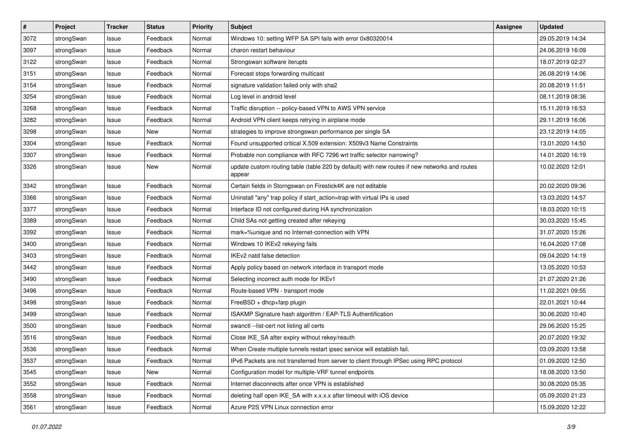| #    | Project    | <b>Tracker</b> | <b>Status</b> | <b>Priority</b> | <b>Subject</b>                                                                                          | <b>Assignee</b> | <b>Updated</b>   |
|------|------------|----------------|---------------|-----------------|---------------------------------------------------------------------------------------------------------|-----------------|------------------|
| 3072 | strongSwan | Issue          | Feedback      | Normal          | Windows 10: setting WFP SA SPI fails with error 0x80320014                                              |                 | 29.05.2019 14:34 |
| 3097 | strongSwan | Issue          | Feedback      | Normal          | charon restart behaviour                                                                                |                 | 24.06.2019 16:09 |
| 3122 | strongSwan | Issue          | Feedback      | Normal          | Strongswan software iterupts                                                                            |                 | 18.07.2019 02:27 |
| 3151 | strongSwan | Issue          | Feedback      | Normal          | Forecast stops forwarding multicast                                                                     |                 | 26.08.2019 14:06 |
| 3154 | strongSwan | Issue          | Feedback      | Normal          | signature validation failed only with sha2                                                              |                 | 20.08.2019 11:51 |
| 3254 | strongSwan | Issue          | Feedback      | Normal          | Log level in android level                                                                              |                 | 08.11.2019 08:36 |
| 3268 | strongSwan | Issue          | Feedback      | Normal          | Traffic disruption -- policy-based VPN to AWS VPN service                                               |                 | 15.11.2019 16:53 |
| 3282 | strongSwan | Issue          | Feedback      | Normal          | Android VPN client keeps retrying in airplane mode                                                      |                 | 29.11.2019 16:06 |
| 3298 | strongSwan | Issue          | <b>New</b>    | Normal          | strategies to improve strongswan performance per single SA                                              |                 | 23.12.2019 14:05 |
| 3304 | strongSwan | Issue          | Feedback      | Normal          | Found unsupported critical X.509 extension: X509v3 Name Constraints                                     |                 | 13.01.2020 14:50 |
| 3307 | strongSwan | Issue          | Feedback      | Normal          | Probable non compliance with RFC 7296 wrt traffic selector narrowing?                                   |                 | 14.01.2020 16:19 |
| 3326 | strongSwan | Issue          | New           | Normal          | update custom routing table (table 220 by default) with new routes if new networks and routes<br>appear |                 | 10.02.2020 12:01 |
| 3342 | strongSwan | Issue          | Feedback      | Normal          | Certain fields in Storngswan on Firestick4K are not editable                                            |                 | 20.02.2020 09:36 |
| 3366 | strongSwan | Issue          | Feedback      | Normal          | Uninstall "any" trap policy if start_action=trap with virtual IPs is used                               |                 | 13.03.2020 14:57 |
| 3377 | strongSwan | Issue          | Feedback      | Normal          | Interface ID not configured during HA synchronization                                                   |                 | 18.03.2020 10:15 |
| 3389 | strongSwan | Issue          | Feedback      | Normal          | Child SAs not getting created after rekeying                                                            |                 | 30.03.2020 15:45 |
| 3392 | strongSwan | Issue          | Feedback      | Normal          | mark=%unique and no Internet-connection with VPN                                                        |                 | 31.07.2020 15:26 |
| 3400 | strongSwan | Issue          | Feedback      | Normal          | Windows 10 IKEv2 rekeying fails                                                                         |                 | 16.04.2020 17:08 |
| 3403 | strongSwan | Issue          | Feedback      | Normal          | IKEv2 natd false detection                                                                              |                 | 09.04.2020 14:19 |
| 3442 | strongSwan | Issue          | Feedback      | Normal          | Apply policy based on network interface in transport mode                                               |                 | 13.05.2020 10:53 |
| 3490 | strongSwan | Issue          | Feedback      | Normal          | Selecting incorrect auth mode for IKEv1                                                                 |                 | 21.07.2020 21:26 |
| 3496 | strongSwan | Issue          | Feedback      | Normal          | Route-based VPN - transport mode                                                                        |                 | 11.02.2021 09:55 |
| 3498 | strongSwan | Issue          | Feedback      | Normal          | FreeBSD + dhcp+farp plugin                                                                              |                 | 22.01.2021 10:44 |
| 3499 | strongSwan | Issue          | Feedback      | Normal          | ISAKMP Signature hash algorithm / EAP-TLS Authentification                                              |                 | 30.06.2020 10:40 |
| 3500 | strongSwan | Issue          | Feedback      | Normal          | swanctl --list-cert not listing all certs                                                               |                 | 29.06.2020 15:25 |
| 3516 | strongSwan | Issue          | Feedback      | Normal          | Close IKE_SA after expiry without rekey/reauth                                                          |                 | 20.07.2020 19:32 |
| 3536 | strongSwan | Issue          | Feedback      | Normal          | When Create multiple tunnels restart ipsec service will establish fail.                                 |                 | 03.09.2020 13:58 |
| 3537 | strongSwan | Issue          | Feedback      | Normal          | IPv6 Packets are not transferred from server to client through IPSec using RPC protocol                 |                 | 01.09.2020 12:50 |
| 3545 | strongSwan | Issue          | New           | Normal          | Configuration model for multiple-VRF tunnel endpoints                                                   |                 | 18.08.2020 13:50 |
| 3552 | strongSwan | Issue          | Feedback      | Normal          | Internet disconnects after once VPN is established                                                      |                 | 30.08.2020 05:35 |
| 3558 | strongSwan | Issue          | Feedback      | Normal          | deleting half open IKE_SA with x.x.x.x after timeout with iOS device                                    |                 | 05.09.2020 21:23 |
| 3561 | strongSwan | Issue          | Feedback      | Normal          | Azure P2S VPN Linux connection error                                                                    |                 | 15.09.2020 12:22 |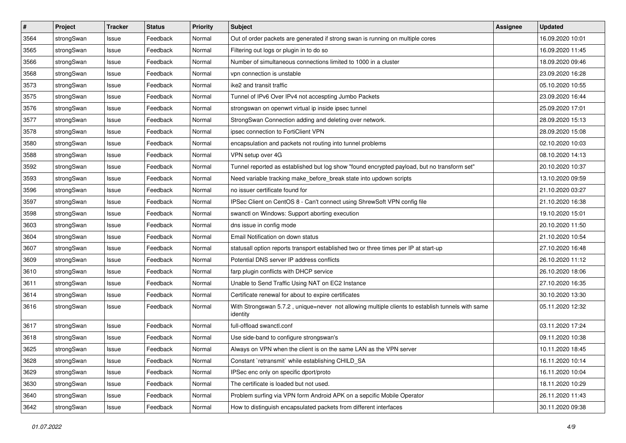| $\pmb{\#}$ | Project    | <b>Tracker</b> | <b>Status</b> | <b>Priority</b> | <b>Subject</b>                                                                                               | <b>Assignee</b> | <b>Updated</b>   |
|------------|------------|----------------|---------------|-----------------|--------------------------------------------------------------------------------------------------------------|-----------------|------------------|
| 3564       | strongSwan | Issue          | Feedback      | Normal          | Out of order packets are generated if strong swan is running on multiple cores                               |                 | 16.09.2020 10:01 |
| 3565       | strongSwan | Issue          | Feedback      | Normal          | Filtering out logs or plugin in to do so                                                                     |                 | 16.09.2020 11:45 |
| 3566       | strongSwan | Issue          | Feedback      | Normal          | Number of simultaneous connections limited to 1000 in a cluster                                              |                 | 18.09.2020 09:46 |
| 3568       | strongSwan | Issue          | Feedback      | Normal          | vpn connection is unstable                                                                                   |                 | 23.09.2020 16:28 |
| 3573       | strongSwan | Issue          | Feedback      | Normal          | ike2 and transit traffic                                                                                     |                 | 05.10.2020 10:55 |
| 3575       | strongSwan | Issue          | Feedback      | Normal          | Tunnel of IPv6 Over IPv4 not accespting Jumbo Packets                                                        |                 | 23.09.2020 16:44 |
| 3576       | strongSwan | Issue          | Feedback      | Normal          | strongswan on openwrt virtual ip inside ipsec tunnel                                                         |                 | 25.09.2020 17:01 |
| 3577       | strongSwan | Issue          | Feedback      | Normal          | StrongSwan Connection adding and deleting over network.                                                      |                 | 28.09.2020 15:13 |
| 3578       | strongSwan | Issue          | Feedback      | Normal          | ipsec connection to FortiClient VPN                                                                          |                 | 28.09.2020 15:08 |
| 3580       | strongSwan | Issue          | Feedback      | Normal          | encapsulation and packets not routing into tunnel problems                                                   |                 | 02.10.2020 10:03 |
| 3588       | strongSwan | Issue          | Feedback      | Normal          | VPN setup over 4G                                                                                            |                 | 08.10.2020 14:13 |
| 3592       | strongSwan | Issue          | Feedback      | Normal          | Tunnel reported as established but log show "found encrypted payload, but no transform set"                  |                 | 20.10.2020 10:37 |
| 3593       | strongSwan | Issue          | Feedback      | Normal          | Need variable tracking make_before_break state into updown scripts                                           |                 | 13.10.2020 09:59 |
| 3596       | strongSwan | Issue          | Feedback      | Normal          | no issuer certificate found for                                                                              |                 | 21.10.2020 03:27 |
| 3597       | strongSwan | Issue          | Feedback      | Normal          | IPSec Client on CentOS 8 - Can't connect using ShrewSoft VPN config file                                     |                 | 21.10.2020 16:38 |
| 3598       | strongSwan | Issue          | Feedback      | Normal          | swanctl on Windows: Support aborting execution                                                               |                 | 19.10.2020 15:01 |
| 3603       | strongSwan | Issue          | Feedback      | Normal          | dns issue in config mode                                                                                     |                 | 20.10.2020 11:50 |
| 3604       | strongSwan | Issue          | Feedback      | Normal          | Email Notification on down status                                                                            |                 | 21.10.2020 10:54 |
| 3607       | strongSwan | Issue          | Feedback      | Normal          | statusall option reports transport established two or three times per IP at start-up                         |                 | 27.10.2020 16:48 |
| 3609       | strongSwan | Issue          | Feedback      | Normal          | Potential DNS server IP address conflicts                                                                    |                 | 26.10.2020 11:12 |
| 3610       | strongSwan | Issue          | Feedback      | Normal          | farp plugin conflicts with DHCP service                                                                      |                 | 26.10.2020 18:06 |
| 3611       | strongSwan | Issue          | Feedback      | Normal          | Unable to Send Traffic Using NAT on EC2 Instance                                                             |                 | 27.10.2020 16:35 |
| 3614       | strongSwan | Issue          | Feedback      | Normal          | Certificate renewal for about to expire certificates                                                         |                 | 30.10.2020 13:30 |
| 3616       | strongSwan | Issue          | Feedback      | Normal          | With Strongswan 5.7.2, unique=never not allowing multiple clients to establish tunnels with same<br>identity |                 | 05.11.2020 12:32 |
| 3617       | strongSwan | Issue          | Feedback      | Normal          | full-offload swanctl.conf                                                                                    |                 | 03.11.2020 17:24 |
| 3618       | strongSwan | Issue          | Feedback      | Normal          | Use side-band to configure strongswan's                                                                      |                 | 09.11.2020 10:38 |
| 3625       | strongSwan | Issue          | Feedback      | Normal          | Always on VPN when the client is on the same LAN as the VPN server                                           |                 | 10.11.2020 18:45 |
| 3628       | strongSwan | Issue          | Feedback      | Normal          | Constant `retransmit` while establishing CHILD_SA                                                            |                 | 16.11.2020 10:14 |
| 3629       | strongSwan | Issue          | Feedback      | Normal          | IPSec enc only on specific dport/proto                                                                       |                 | 16.11.2020 10:04 |
| 3630       | strongSwan | Issue          | Feedback      | Normal          | The certificate is loaded but not used.                                                                      |                 | 18.11.2020 10:29 |
| 3640       | strongSwan | Issue          | Feedback      | Normal          | Problem surfing via VPN form Android APK on a sepcific Mobile Operator                                       |                 | 26.11.2020 11:43 |
| 3642       | strongSwan | Issue          | Feedback      | Normal          | How to distinguish encapsulated packets from different interfaces                                            |                 | 30.11.2020 09:38 |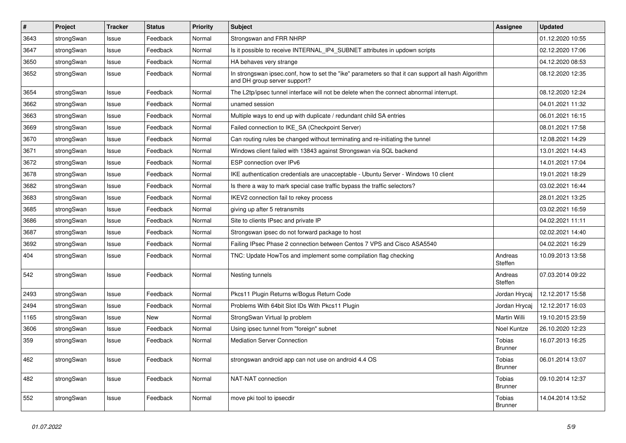| #    | Project    | <b>Tracker</b> | <b>Status</b> | <b>Priority</b> | <b>Subject</b>                                                                                                                      | <b>Assignee</b>                 | <b>Updated</b>   |
|------|------------|----------------|---------------|-----------------|-------------------------------------------------------------------------------------------------------------------------------------|---------------------------------|------------------|
| 3643 | strongSwan | Issue          | Feedback      | Normal          | Strongswan and FRR NHRP                                                                                                             |                                 | 01.12.2020 10:55 |
| 3647 | strongSwan | Issue          | Feedback      | Normal          | Is it possible to receive INTERNAL_IP4_SUBNET attributes in updown scripts                                                          |                                 | 02.12.2020 17:06 |
| 3650 | strongSwan | Issue          | Feedback      | Normal          | HA behaves very strange                                                                                                             |                                 | 04.12.2020 08:53 |
| 3652 | strongSwan | Issue          | Feedback      | Normal          | In strongswan ipsec.conf, how to set the "ike" parameters so that it can support all hash Algorithm<br>and DH group server support? |                                 | 08.12.2020 12:35 |
| 3654 | strongSwan | Issue          | Feedback      | Normal          | The L2tp/ipsec tunnel interface will not be delete when the connect abnormal interrupt.                                             |                                 | 08.12.2020 12:24 |
| 3662 | strongSwan | Issue          | Feedback      | Normal          | unamed session                                                                                                                      |                                 | 04.01.2021 11:32 |
| 3663 | strongSwan | Issue          | Feedback      | Normal          | Multiple ways to end up with duplicate / redundant child SA entries                                                                 |                                 | 06.01.2021 16:15 |
| 3669 | strongSwan | Issue          | Feedback      | Normal          | Failed connection to IKE_SA (Checkpoint Server)                                                                                     |                                 | 08.01.2021 17:58 |
| 3670 | strongSwan | Issue          | Feedback      | Normal          | Can routing rules be changed without terminating and re-initiating the tunnel                                                       |                                 | 12.08.2021 14:29 |
| 3671 | strongSwan | Issue          | Feedback      | Normal          | Windows client failed with 13843 against Strongswan via SQL backend                                                                 |                                 | 13.01.2021 14:43 |
| 3672 | strongSwan | Issue          | Feedback      | Normal          | ESP connection over IPv6                                                                                                            |                                 | 14.01.2021 17:04 |
| 3678 | strongSwan | Issue          | Feedback      | Normal          | IKE authentication credentials are unacceptable - Ubuntu Server - Windows 10 client                                                 |                                 | 19.01.2021 18:29 |
| 3682 | strongSwan | Issue          | Feedback      | Normal          | Is there a way to mark special case traffic bypass the traffic selectors?                                                           |                                 | 03.02.2021 16:44 |
| 3683 | strongSwan | Issue          | Feedback      | Normal          | IKEV2 connection fail to rekey process                                                                                              |                                 | 28.01.2021 13:25 |
| 3685 | strongSwan | Issue          | Feedback      | Normal          | giving up after 5 retransmits                                                                                                       |                                 | 03.02.2021 16:59 |
| 3686 | strongSwan | Issue          | Feedback      | Normal          | Site to clients IPsec and private IP                                                                                                |                                 | 04.02.2021 11:11 |
| 3687 | strongSwan | Issue          | Feedback      | Normal          | Strongswan ipsec do not forward package to host                                                                                     |                                 | 02.02.2021 14:40 |
| 3692 | strongSwan | Issue          | Feedback      | Normal          | Failing IPsec Phase 2 connection between Centos 7 VPS and Cisco ASA5540                                                             |                                 | 04.02.2021 16:29 |
| 404  | strongSwan | Issue          | Feedback      | Normal          | TNC: Update HowTos and implement some compilation flag checking                                                                     | Andreas<br>Steffen              | 10.09.2013 13:58 |
| 542  | strongSwan | Issue          | Feedback      | Normal          | Nesting tunnels                                                                                                                     | Andreas<br>Steffen              | 07.03.2014 09:22 |
| 2493 | strongSwan | Issue          | Feedback      | Normal          | Pkcs11 Plugin Returns w/Bogus Return Code                                                                                           | Jordan Hrycaj                   | 12.12.2017 15:58 |
| 2494 | strongSwan | Issue          | Feedback      | Normal          | Problems With 64bit Slot IDs With Pkcs11 Plugin                                                                                     | Jordan Hrycaj                   | 12.12.2017 16:03 |
| 1165 | strongSwan | Issue          | <b>New</b>    | Normal          | StrongSwan Virtual Ip problem                                                                                                       | Martin Willi                    | 19.10.2015 23:59 |
| 3606 | strongSwan | Issue          | Feedback      | Normal          | Using ipsec tunnel from "foreign" subnet                                                                                            | Noel Kuntze                     | 26.10.2020 12:23 |
| 359  | strongSwan | Issue          | Feedback      | Normal          | <b>Mediation Server Connection</b>                                                                                                  | Tobias<br>Brunner               | 16.07.2013 16:25 |
| 462  | strongSwan | Issue          | Feedback      | Normal          | strongswan android app can not use on android 4.4 OS                                                                                | Tobias<br><b>Brunner</b>        | 06.01.2014 13:07 |
| 482  | strongSwan | Issue          | Feedback      | Normal          | NAT-NAT connection                                                                                                                  | Tobias<br><b>Brunner</b>        | 09.10.2014 12:37 |
| 552  | strongSwan | Issue          | Feedback      | Normal          | move pki tool to ipsecdir                                                                                                           | <b>Tobias</b><br><b>Brunner</b> | 14.04.2014 13:52 |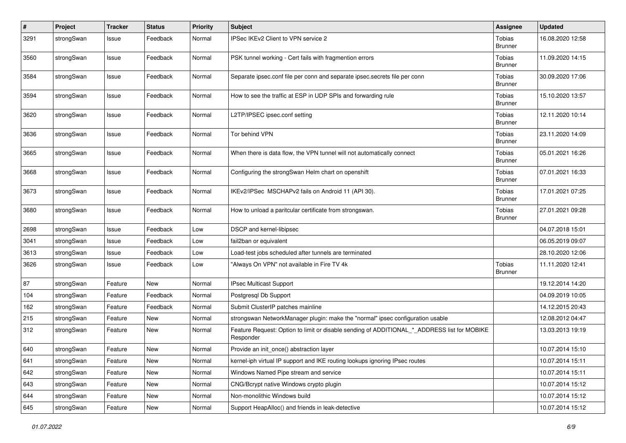| $\sharp$ | Project    | <b>Tracker</b> | <b>Status</b> | <b>Priority</b> | <b>Subject</b>                                                                                           | <b>Assignee</b>          | <b>Updated</b>   |
|----------|------------|----------------|---------------|-----------------|----------------------------------------------------------------------------------------------------------|--------------------------|------------------|
| 3291     | strongSwan | Issue          | Feedback      | Normal          | IPSec IKEv2 Client to VPN service 2                                                                      | Tobias<br><b>Brunner</b> | 16.08.2020 12:58 |
| 3560     | strongSwan | Issue          | Feedback      | Normal          | PSK tunnel working - Cert fails with fragmention errors                                                  | Tobias<br><b>Brunner</b> | 11.09.2020 14:15 |
| 3584     | strongSwan | Issue          | Feedback      | Normal          | Separate ipsec.conf file per conn and separate ipsec.secrets file per conn                               | Tobias<br><b>Brunner</b> | 30.09.2020 17:06 |
| 3594     | strongSwan | Issue          | Feedback      | Normal          | How to see the traffic at ESP in UDP SPIs and forwarding rule                                            | Tobias<br><b>Brunner</b> | 15.10.2020 13:57 |
| 3620     | strongSwan | Issue          | Feedback      | Normal          | L2TP/IPSEC ipsec.conf setting                                                                            | Tobias<br><b>Brunner</b> | 12.11.2020 10:14 |
| 3636     | strongSwan | Issue          | Feedback      | Normal          | Tor behind VPN                                                                                           | Tobias<br><b>Brunner</b> | 23.11.2020 14:09 |
| 3665     | strongSwan | Issue          | Feedback      | Normal          | When there is data flow, the VPN tunnel will not automatically connect                                   | Tobias<br><b>Brunner</b> | 05.01.2021 16:26 |
| 3668     | strongSwan | Issue          | Feedback      | Normal          | Configuring the strongSwan Helm chart on openshift                                                       | Tobias<br><b>Brunner</b> | 07.01.2021 16:33 |
| 3673     | strongSwan | Issue          | Feedback      | Normal          | IKEv2/IPSec MSCHAPv2 fails on Android 11 (API 30).                                                       | Tobias<br><b>Brunner</b> | 17.01.2021 07:25 |
| 3680     | strongSwan | Issue          | Feedback      | Normal          | How to unload a paritcular certificate from strongswan.                                                  | Tobias<br><b>Brunner</b> | 27.01.2021 09:28 |
| 2698     | strongSwan | Issue          | Feedback      | Low             | DSCP and kernel-libipsec                                                                                 |                          | 04.07.2018 15:01 |
| 3041     | strongSwan | Issue          | Feedback      | Low             | fail2ban or equivalent                                                                                   |                          | 06.05.2019 09:07 |
| 3613     | strongSwan | Issue          | Feedback      | Low             | Load-test jobs scheduled after tunnels are terminated                                                    |                          | 28.10.2020 12:06 |
| 3626     | strongSwan | Issue          | Feedback      | Low             | "Always On VPN" not available in Fire TV 4k                                                              | Tobias<br><b>Brunner</b> | 11.11.2020 12:41 |
| 87       | strongSwan | Feature        | <b>New</b>    | Normal          | IPsec Multicast Support                                                                                  |                          | 19.12.2014 14:20 |
| 104      | strongSwan | Feature        | Feedback      | Normal          | Postgresql Db Support                                                                                    |                          | 04.09.2019 10:05 |
| 162      | strongSwan | Feature        | Feedback      | Normal          | Submit ClusterIP patches mainline                                                                        |                          | 14.12.2015 20:43 |
| 215      | strongSwan | Feature        | New           | Normal          | strongswan NetworkManager plugin: make the "normal" ipsec configuration usable                           |                          | 12.08.2012 04:47 |
| 312      | strongSwan | Feature        | <b>New</b>    | Normal          | Feature Request: Option to limit or disable sending of ADDITIONAL_*_ADDRESS list for MOBIKE<br>Responder |                          | 13.03.2013 19:19 |
| 640      | strongSwan | Feature        | <b>New</b>    | Normal          | Provide an init_once() abstraction layer                                                                 |                          | 10.07.2014 15:10 |
| 641      | strongSwan | Feature        | New           | Normal          | kernel-iph virtual IP support and IKE routing lookups ignoring IPsec routes                              |                          | 10.07.2014 15:11 |
| 642      | strongSwan | Feature        | <b>New</b>    | Normal          | Windows Named Pipe stream and service                                                                    |                          | 10.07.2014 15:11 |
| 643      | strongSwan | Feature        | New           | Normal          | CNG/Bcrypt native Windows crypto plugin                                                                  |                          | 10.07.2014 15:12 |
| 644      | strongSwan | Feature        | New           | Normal          | Non-monolithic Windows build                                                                             |                          | 10.07.2014 15:12 |
| 645      | strongSwan | Feature        | New           | Normal          | Support HeapAlloc() and friends in leak-detective                                                        |                          | 10.07.2014 15:12 |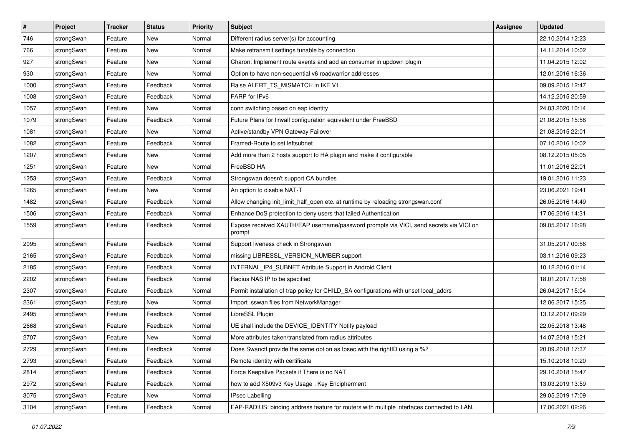| $\vert$ # | Project    | <b>Tracker</b> | <b>Status</b> | <b>Priority</b> | <b>Subject</b>                                                                                   | <b>Assignee</b> | <b>Updated</b>   |
|-----------|------------|----------------|---------------|-----------------|--------------------------------------------------------------------------------------------------|-----------------|------------------|
| 746       | strongSwan | Feature        | New           | Normal          | Different radius server(s) for accounting                                                        |                 | 22.10.2014 12:23 |
| 766       | strongSwan | Feature        | New           | Normal          | Make retransmit settings tunable by connection                                                   |                 | 14.11.2014 10:02 |
| 927       | strongSwan | Feature        | New           | Normal          | Charon: Implement route events and add an consumer in updown plugin                              |                 | 11.04.2015 12:02 |
| 930       | strongSwan | Feature        | New           | Normal          | Option to have non-sequential v6 roadwarrior addresses                                           |                 | 12.01.2016 16:36 |
| 1000      | strongSwan | Feature        | Feedback      | Normal          | Raise ALERT_TS_MISMATCH in IKE V1                                                                |                 | 09.09.2015 12:47 |
| 1008      | strongSwan | Feature        | Feedback      | Normal          | FARP for IPv6                                                                                    |                 | 14.12.2015 20:59 |
| 1057      | strongSwan | Feature        | New           | Normal          | conn switching based on eap identity                                                             |                 | 24.03.2020 10:14 |
| 1079      | strongSwan | Feature        | Feedback      | Normal          | Future Plans for firwall configuration equivalent under FreeBSD                                  |                 | 21.08.2015 15:58 |
| 1081      | strongSwan | Feature        | New           | Normal          | Active/standby VPN Gateway Failover                                                              |                 | 21.08.2015 22:01 |
| 1082      | strongSwan | Feature        | Feedback      | Normal          | Framed-Route to set leftsubnet                                                                   |                 | 07.10.2016 10:02 |
| 1207      | strongSwan | Feature        | New           | Normal          | Add more than 2 hosts support to HA plugin and make it configurable                              |                 | 08.12.2015 05:05 |
| 1251      | strongSwan | Feature        | New           | Normal          | FreeBSD HA                                                                                       |                 | 11.01.2016 22:01 |
| 1253      | strongSwan | Feature        | Feedback      | Normal          | Strongswan doesn't support CA bundles                                                            |                 | 19.01.2016 11:23 |
| 1265      | strongSwan | Feature        | New           | Normal          | An option to disable NAT-T                                                                       |                 | 23.06.2021 19:41 |
| 1482      | strongSwan | Feature        | Feedback      | Normal          | Allow changing init_limit_half_open etc. at runtime by reloading strongswan.conf                 |                 | 26.05.2016 14:49 |
| 1506      | strongSwan | Feature        | Feedback      | Normal          | Enhance DoS protection to deny users that failed Authentication                                  |                 | 17.06.2016 14:31 |
| 1559      | strongSwan | Feature        | Feedback      | Normal          | Expose received XAUTH/EAP username/password prompts via VICI, send secrets via VICI on<br>prompt |                 | 09.05.2017 16:28 |
| 2095      | strongSwan | Feature        | Feedback      | Normal          | Support liveness check in Strongswan                                                             |                 | 31.05.2017 00:56 |
| 2165      | strongSwan | Feature        | Feedback      | Normal          | missing LIBRESSL_VERSION_NUMBER support                                                          |                 | 03.11.2016 09:23 |
| 2185      | strongSwan | Feature        | Feedback      | Normal          | INTERNAL_IP4_SUBNET Attribute Support in Android Client                                          |                 | 10.12.2016 01:14 |
| 2202      | strongSwan | Feature        | Feedback      | Normal          | Radius NAS IP to be specified                                                                    |                 | 18.01.2017 17:58 |
| 2307      | strongSwan | Feature        | Feedback      | Normal          | Permit installation of trap policy for CHILD_SA configurations with unset local_addrs            |                 | 26.04.2017 15:04 |
| 2361      | strongSwan | Feature        | New           | Normal          | Import .sswan files from NetworkManager                                                          |                 | 12.06.2017 15:25 |
| 2495      | strongSwan | Feature        | Feedback      | Normal          | LibreSSL Plugin                                                                                  |                 | 13.12.2017 09:29 |
| 2668      | strongSwan | Feature        | Feedback      | Normal          | UE shall include the DEVICE_IDENTITY Notify payload                                              |                 | 22.05.2018 13:48 |
| 2707      | strongSwan | Feature        | New           | Normal          | More attributes taken/translated from radius attributes                                          |                 | 14.07.2018 15:21 |
| 2729      | strongSwan | Feature        | Feedback      | Normal          | Does Swanctl provide the same option as Ipsec with the rightID using a %?                        |                 | 20.09.2018 17:37 |
| 2793      | strongSwan | Feature        | Feedback      | Normal          | Remote identity with certificate                                                                 |                 | 15.10.2018 10:20 |
| 2814      | strongSwan | Feature        | Feedback      | Normal          | Force Keepalive Packets if There is no NAT                                                       |                 | 29.10.2018 15:47 |
| 2972      | strongSwan | Feature        | Feedback      | Normal          | how to add X509v3 Key Usage: Key Encipherment                                                    |                 | 13.03.2019 13:59 |
| 3075      | strongSwan | Feature        | New           | Normal          | <b>IPsec Labelling</b>                                                                           |                 | 29.05.2019 17:09 |
| 3104      | strongSwan | Feature        | Feedback      | Normal          | EAP-RADIUS: binding address feature for routers with multiple interfaces connected to LAN.       |                 | 17.06.2021 02:26 |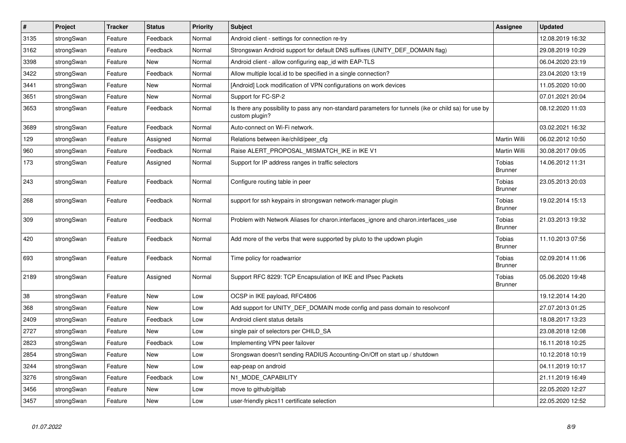| $\pmb{\#}$ | Project    | <b>Tracker</b> | <b>Status</b> | <b>Priority</b> | <b>Subject</b>                                                                                                          | <b>Assignee</b>                 | <b>Updated</b>   |
|------------|------------|----------------|---------------|-----------------|-------------------------------------------------------------------------------------------------------------------------|---------------------------------|------------------|
| 3135       | strongSwan | Feature        | Feedback      | Normal          | Android client - settings for connection re-try                                                                         |                                 | 12.08.2019 16:32 |
| 3162       | strongSwan | Feature        | Feedback      | Normal          | Strongswan Android support for default DNS suffixes (UNITY_DEF_DOMAIN flag)                                             |                                 | 29.08.2019 10:29 |
| 3398       | strongSwan | Feature        | New           | Normal          | Android client - allow configuring eap_id with EAP-TLS                                                                  |                                 | 06.04.2020 23:19 |
| 3422       | strongSwan | Feature        | Feedback      | Normal          | Allow multiple local.id to be specified in a single connection?                                                         |                                 | 23.04.2020 13:19 |
| 3441       | strongSwan | Feature        | <b>New</b>    | Normal          | [Android] Lock modification of VPN configurations on work devices                                                       |                                 | 11.05.2020 10:00 |
| 3651       | strongSwan | Feature        | New           | Normal          | Support for FC-SP-2                                                                                                     |                                 | 07.01.2021 20:04 |
| 3653       | strongSwan | Feature        | Feedback      | Normal          | Is there any possibility to pass any non-standard parameters for tunnels (ike or child sa) for use by<br>custom plugin? |                                 | 08.12.2020 11:03 |
| 3689       | strongSwan | Feature        | Feedback      | Normal          | Auto-connect on Wi-Fi network.                                                                                          |                                 | 03.02.2021 16:32 |
| 129        | strongSwan | Feature        | Assigned      | Normal          | Relations between ike/child/peer cfg                                                                                    | Martin Willi                    | 06.02.2012 10:50 |
| 960        | strongSwan | Feature        | Feedback      | Normal          | Raise ALERT PROPOSAL MISMATCH IKE in IKE V1                                                                             | Martin Willi                    | 30.08.2017 09:05 |
| 173        | strongSwan | Feature        | Assigned      | Normal          | Support for IP address ranges in traffic selectors                                                                      | <b>Tobias</b><br><b>Brunner</b> | 14.06.2012 11:31 |
| 243        | strongSwan | Feature        | Feedback      | Normal          | Configure routing table in peer                                                                                         | Tobias<br><b>Brunner</b>        | 23.05.2013 20:03 |
| 268        | strongSwan | Feature        | Feedback      | Normal          | support for ssh keypairs in strongswan network-manager plugin                                                           | <b>Tobias</b><br><b>Brunner</b> | 19.02.2014 15:13 |
| 309        | strongSwan | Feature        | Feedback      | Normal          | Problem with Network Aliases for charon.interfaces ignore and charon.interfaces use                                     | <b>Tobias</b><br><b>Brunner</b> | 21.03.2013 19:32 |
| 420        | strongSwan | Feature        | Feedback      | Normal          | Add more of the verbs that were supported by pluto to the updown plugin                                                 | Tobias<br><b>Brunner</b>        | 11.10.2013 07:56 |
| 693        | strongSwan | Feature        | Feedback      | Normal          | Time policy for roadwarrior                                                                                             | <b>Tobias</b><br><b>Brunner</b> | 02.09.2014 11:06 |
| 2189       | strongSwan | Feature        | Assigned      | Normal          | Support RFC 8229: TCP Encapsulation of IKE and IPsec Packets                                                            | <b>Tobias</b><br><b>Brunner</b> | 05.06.2020 19:48 |
| 38         | strongSwan | Feature        | <b>New</b>    | Low             | OCSP in IKE payload, RFC4806                                                                                            |                                 | 19.12.2014 14:20 |
| 368        | strongSwan | Feature        | <b>New</b>    | Low             | Add support for UNITY_DEF_DOMAIN mode config and pass domain to resolvconf                                              |                                 | 27.07.2013 01:25 |
| 2409       | strongSwan | Feature        | Feedback      | Low             | Android client status details                                                                                           |                                 | 18.08.2017 13:23 |
| 2727       | strongSwan | Feature        | New           | Low             | single pair of selectors per CHILD SA                                                                                   |                                 | 23.08.2018 12:08 |
| 2823       | strongSwan | Feature        | Feedback      | Low             | Implementing VPN peer failover                                                                                          |                                 | 16.11.2018 10:25 |
| 2854       | strongSwan | Feature        | New           | Low             | Srongswan doesn't sending RADIUS Accounting-On/Off on start up / shutdown                                               |                                 | 10.12.2018 10:19 |
| 3244       | strongSwan | Feature        | New           | Low             | eap-peap on android                                                                                                     |                                 | 04.11.2019 10:17 |
| 3276       | strongSwan | Feature        | Feedback      | Low             | N1_MODE_CAPABILITY                                                                                                      |                                 | 21.11.2019 16:49 |
| 3456       | strongSwan | Feature        | <b>New</b>    | Low             | move to github/gitlab                                                                                                   |                                 | 22.05.2020 12:27 |
| 3457       | strongSwan | Feature        | <b>New</b>    | Low             | user-friendly pkcs11 certificate selection                                                                              |                                 | 22.05.2020 12:52 |